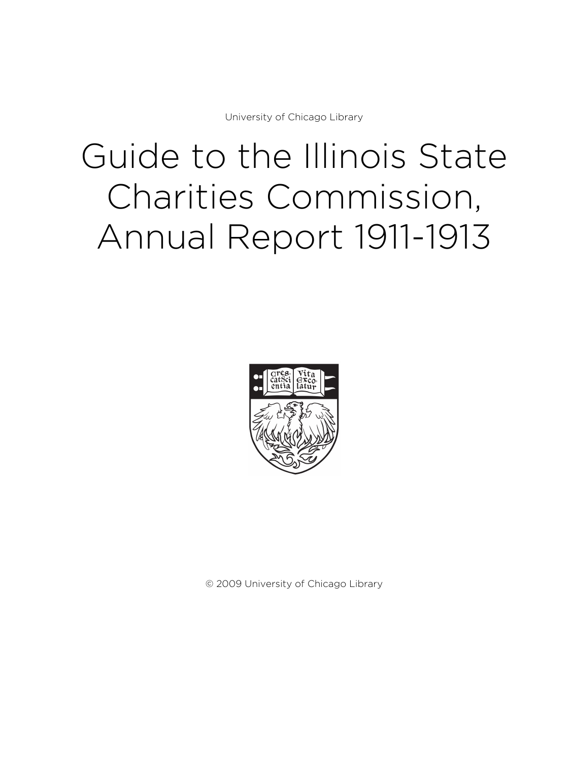University of Chicago Library

# Guide to the Illinois State Charities Commission, Annual Report 1911-1913



© 2009 University of Chicago Library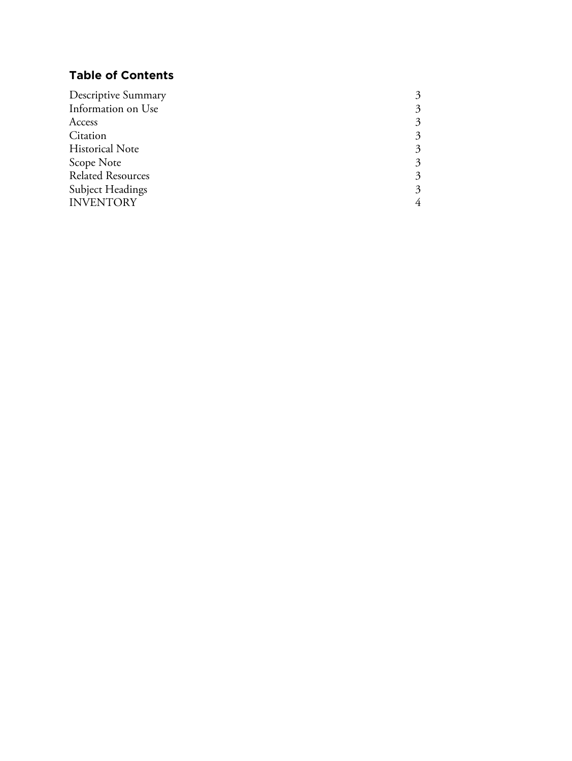# **Table of Contents**

| Descriptive Summary      |                             |
|--------------------------|-----------------------------|
| Information on Use       | 3                           |
| Access                   | 3                           |
| Citation                 | $\mathcal{Z}_{\mathcal{A}}$ |
| <b>Historical Note</b>   | $\mathcal{Z}_{\mathcal{A}}$ |
| Scope Note               | 3                           |
| <b>Related Resources</b> | 3                           |
| Subject Headings         | $\mathcal{Z}_{\mathcal{A}}$ |
| <b>INVENTORY</b>         |                             |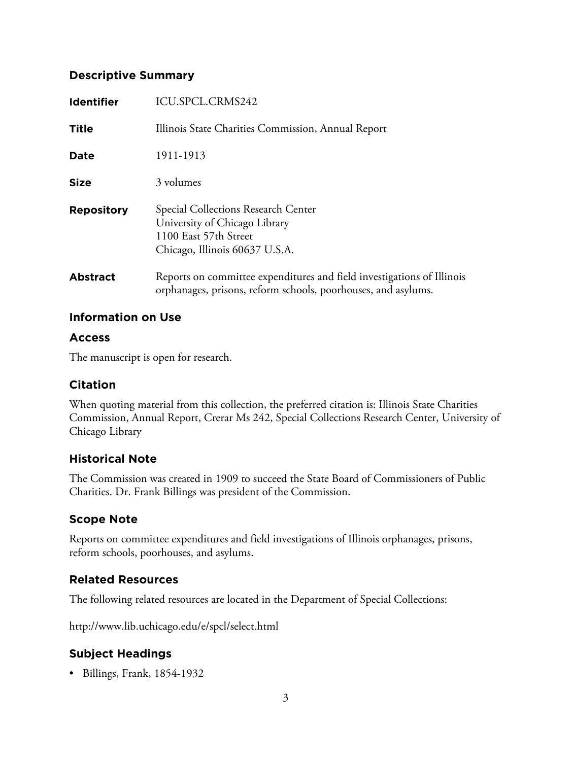#### **Descriptive Summary**

| <b>Identifier</b> | ICU.SPCL.CRMS242                                                                                                                        |
|-------------------|-----------------------------------------------------------------------------------------------------------------------------------------|
| <b>Title</b>      | Illinois State Charities Commission, Annual Report                                                                                      |
| <b>Date</b>       | 1911-1913                                                                                                                               |
| <b>Size</b>       | 3 volumes                                                                                                                               |
| <b>Repository</b> | Special Collections Research Center<br>University of Chicago Library<br>1100 East 57th Street<br>Chicago, Illinois 60637 U.S.A.         |
| <b>Abstract</b>   | Reports on committee expenditures and field investigations of Illinois<br>orphanages, prisons, reform schools, poorhouses, and asylums. |

#### **Information on Use**

#### **Access**

The manuscript is open for research.

## **Citation**

When quoting material from this collection, the preferred citation is: Illinois State Charities Commission, Annual Report, Crerar Ms 242, Special Collections Research Center, University of Chicago Library

## **Historical Note**

The Commission was created in 1909 to succeed the State Board of Commissioners of Public Charities. Dr. Frank Billings was president of the Commission.

## **Scope Note**

Reports on committee expenditures and field investigations of Illinois orphanages, prisons, reform schools, poorhouses, and asylums.

## **Related Resources**

The following related resources are located in the Department of Special Collections:

http://www.lib.uchicago.edu/e/spcl/select.html

# **Subject Headings**

• Billings, Frank, 1854-1932